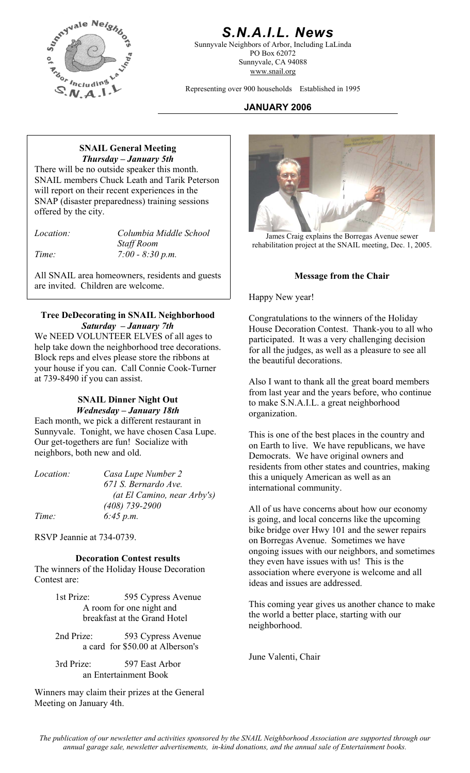

### *S.N.A.I.L. News*

Sunnyvale Neighbors of Arbor, Including LaLinda PO Box 62072 Sunnyvale, CA 94088 www.snail.org

Representing over 900 households Established in 1995

### **JANUARY 2006**

#### **SNAIL General Meeting**  *Thursday – January 5th*

There will be no outside speaker this month. SNAIL members Chuck Leath and Tarik Peterson will report on their recent experiences in the SNAP (disaster preparedness) training sessions offered by the city.

*Time: 7:00 - 8:30 p.m.* 

All SNAIL area homeowners, residents and guests are invited. Children are welcome.

#### **Tree DeDecorating in SNAIL Neighborhood** Congratulations to the winners of the Holiday *Saturday – January 7th*

We NEED VOLUNTEER ELVES of all ages to help take down the neighborhood tree decorations. Block reps and elves please store the ribbons at your house if you can. Call Connie Cook-Turner at 739-8490 if you can assist. Also I want to thank all the great board members

#### **SNAIL Dinner Night Out**  *Wednesday – January 18th*

Each month, we pick a different restaurant in Sunnyvale. Tonight, we have chosen Casa Lupe. Our get-togethers are fun! Socialize with neighbors, both new and old.

| <i>Location:</i> | Casa Lupe Number 2          |
|------------------|-----------------------------|
|                  | 671 S. Bernardo Ave.        |
|                  | (at El Camino, near Arby's) |
|                  | $(408)$ 739-2900            |
| Time:            | 6:45 p.m.                   |

RSVP Jeannie at 734-0739.

#### **Decoration Contest results**

The winners of the Holiday House Decoration Contest are:

> 1st Prize: 595 Cypress Avenue<br>A room for one night and This coming year gives us another chance to make A room for one night and breakfast at the Grand Hotel

2nd Prize: 593 Cypress Avenue a card for \$50.00 at Alberson's

June Valenti, Chair 3rd Prize: 597 East Arbor an Entertainment Book

Winners may claim their prizes at the General Meeting on January 4th.



*Location:* Columbia Middle School James Craig explains the Borregas Avenue sewer<br>Staff Room Staff Room rehabilitation project at the SNAIL meeting, Dec. 1, 20 rehabilitation project at the SNAIL meeting, Dec. 1, 2005.

#### **Message from the Chair**

Happy New year!

House Decoration Contest. Thank-you to all who participated. It was a very challenging decision for all the judges, as well as a pleasure to see all the beautiful decorations.

from last year and the years before, who continue to make S.N.A.I.L. a great neighborhood organization.

This is one of the best places in the country and on Earth to live. We have republicans, we have Democrats. We have original owners and residents from other states and countries, making this a uniquely American as well as an international community.

All of us have concerns about how our economy is going, and local concerns like the upcoming bike bridge over Hwy 101 and the sewer repairs on Borregas Avenue. Sometimes we have ongoing issues with our neighbors, and sometimes they even have issues with us! This is the association where everyone is welcome and all ideas and issues are addressed.

the world a better place, starting with our neighborhood.